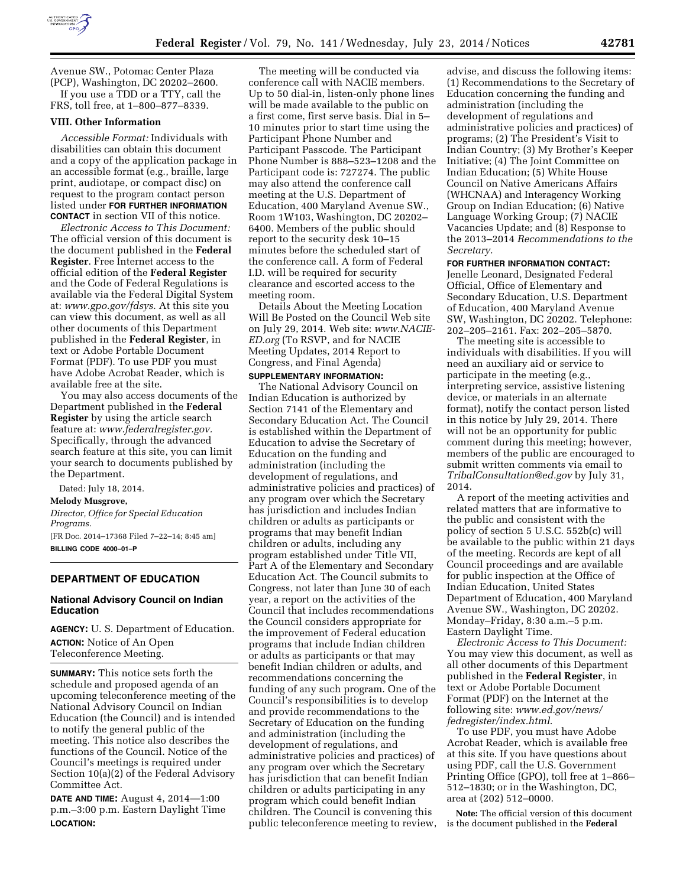

Avenue SW., Potomac Center Plaza (PCP), Washington, DC 20202–2600. If you use a TDD or a TTY, call the FRS, toll free, at 1–800–877–8339.

#### **VIII. Other Information**

*Accessible Format:* Individuals with disabilities can obtain this document and a copy of the application package in an accessible format (e.g., braille, large print, audiotape, or compact disc) on request to the program contact person listed under **FOR FURTHER INFORMATION CONTACT** in section VII of this notice.

*Electronic Access to This Document:*  The official version of this document is the document published in the **Federal Register**. Free Internet access to the official edition of the **Federal Register**  and the Code of Federal Regulations is available via the Federal Digital System at: *[www.gpo.gov/fdsys.](http://www.gpo.gov/fdsys)* At this site you can view this document, as well as all other documents of this Department published in the **Federal Register**, in text or Adobe Portable Document Format (PDF). To use PDF you must have Adobe Acrobat Reader, which is available free at the site.

You may also access documents of the Department published in the **Federal Register** by using the article search feature at: *[www.federalregister.gov.](http://www.federalregister.gov)*  Specifically, through the advanced search feature at this site, you can limit your search to documents published by the Department.

Dated: July 18, 2014.

#### **Melody Musgrove,**

*Director, Office for Special Education Programs.*  [FR Doc. 2014–17368 Filed 7–22–14; 8:45 am] **BILLING CODE 4000–01–P** 

**DEPARTMENT OF EDUCATION** 

### **National Advisory Council on Indian Education**

**AGENCY:** U. S. Department of Education. **ACTION:** Notice of An Open Teleconference Meeting.

**SUMMARY:** This notice sets forth the schedule and proposed agenda of an upcoming teleconference meeting of the National Advisory Council on Indian Education (the Council) and is intended to notify the general public of the meeting. This notice also describes the functions of the Council. Notice of the Council's meetings is required under Section 10(a)(2) of the Federal Advisory Committee Act.

**DATE AND TIME:** August 4, 2014—1:00 p.m.–3:00 p.m. Eastern Daylight Time **LOCATION:** 

The meeting will be conducted via conference call with NACIE members. Up to 50 dial-in, listen-only phone lines will be made available to the public on a first come, first serve basis. Dial in 5– 10 minutes prior to start time using the Participant Phone Number and Participant Passcode. The Participant Phone Number is 888–523–1208 and the Participant code is: 727274. The public may also attend the conference call meeting at the U.S. Department of Education, 400 Maryland Avenue SW., Room 1W103, Washington, DC 20202– 6400. Members of the public should report to the security desk 10–15 minutes before the scheduled start of the conference call. A form of Federal I.D. will be required for security clearance and escorted access to the meeting room.

Details About the Meeting Location Will Be Posted on the Council Web site on July 29, 2014. Web site: *[www.NACIE-](http://www.NACIE-ED.org)[ED.org](http://www.NACIE-ED.org)* (To RSVP, and for NACIE Meeting Updates, 2014 Report to Congress, and Final Agenda)

# **SUPPLEMENTARY INFORMATION:**

The National Advisory Council on Indian Education is authorized by Section 7141 of the Elementary and Secondary Education Act. The Council is established within the Department of Education to advise the Secretary of Education on the funding and administration (including the development of regulations, and administrative policies and practices) of any program over which the Secretary has jurisdiction and includes Indian children or adults as participants or programs that may benefit Indian children or adults, including any program established under Title VII, Part A of the Elementary and Secondary Education Act. The Council submits to Congress, not later than June 30 of each year, a report on the activities of the Council that includes recommendations the Council considers appropriate for the improvement of Federal education programs that include Indian children or adults as participants or that may benefit Indian children or adults, and recommendations concerning the funding of any such program. One of the Council's responsibilities is to develop and provide recommendations to the Secretary of Education on the funding and administration (including the development of regulations, and administrative policies and practices) of any program over which the Secretary has jurisdiction that can benefit Indian children or adults participating in any program which could benefit Indian children. The Council is convening this public teleconference meeting to review,

advise, and discuss the following items: (1) Recommendations to the Secretary of Education concerning the funding and administration (including the development of regulations and administrative policies and practices) of programs; (2) The President's Visit to Indian Country; (3) My Brother's Keeper Initiative; (4) The Joint Committee on Indian Education; (5) White House Council on Native Americans Affairs (WHCNAA) and Interagency Working Group on Indian Education; (6) Native Language Working Group; (7) NACIE Vacancies Update; and (8) Response to the 2013–2014 *Recommendations to the Secretary.* 

## **FOR FURTHER INFORMATION CONTACT:**

Jenelle Leonard, Designated Federal Official, Office of Elementary and Secondary Education, U.S. Department of Education, 400 Maryland Avenue SW, Washington, DC 20202. Telephone: 202–205–2161. Fax: 202–205–5870.

The meeting site is accessible to individuals with disabilities. If you will need an auxiliary aid or service to participate in the meeting (e.g., interpreting service, assistive listening device, or materials in an alternate format), notify the contact person listed in this notice by July 29, 2014. There will not be an opportunity for public comment during this meeting; however, members of the public are encouraged to submit written comments via email to *[TribalConsultation@ed.gov](mailto:TribalConsultation@ed.gov)* by July 31, 2014.

A report of the meeting activities and related matters that are informative to the public and consistent with the policy of section 5 U.S.C. 552b(c) will be available to the public within 21 days of the meeting. Records are kept of all Council proceedings and are available for public inspection at the Office of Indian Education, United States Department of Education, 400 Maryland Avenue SW., Washington, DC 20202. Monday–Friday, 8:30 a.m.–5 p.m. Eastern Daylight Time.

*Electronic Access to This Document:*  You may view this document, as well as all other documents of this Department published in the **Federal Register**, in text or Adobe Portable Document Format (PDF) on the Internet at the following site: *[www.ed.gov/news/](http://www.ed.gov/news/fedregister/index.html) [fedregister/index.html](http://www.ed.gov/news/fedregister/index.html)*.

To use PDF, you must have Adobe Acrobat Reader, which is available free at this site. If you have questions about using PDF, call the U.S. Government Printing Office (GPO), toll free at 1–866– 512–1830; or in the Washington, DC, area at (202) 512–0000.

**Note:** The official version of this document is the document published in the **Federal**